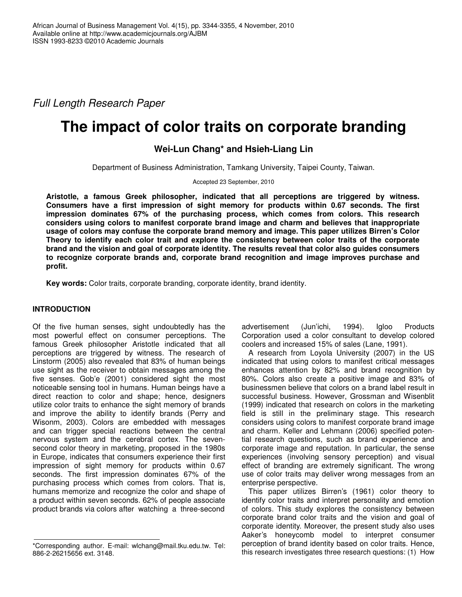*Full Length Research Paper*

# **The impact of color traits on corporate branding**

**Wei-Lun Chang\* and Hsieh-Liang Lin**

Department of Business Administration, Tamkang University, Taipei County, Taiwan.

Accepted 23 September, 2010

**Aristotle, a famous Greek philosopher, indicated that all perceptions are triggered by witness. Consumers have a first impression of sight memory for products within 0.67 seconds. The first impression dominates 67% of the purchasing process, which comes from colors. This research considers using colors to manifest corporate brand image and charm and believes that inappropriate usage of colors may confuse the corporate brand memory and image. This paper utilizes Birren's Color Theory to identify each color trait and explore the consistency between color traits of the corporate brand and the vision and goal of corporate identity. The results reveal that color also guides consumers to recognize corporate brands and, corporate brand recognition and image improves purchase and profit.**

**Key words:** Color traits, corporate branding, corporate identity, brand identity.

# **INTRODUCTION**

Of the five human senses, sight undoubtedly has the most powerful effect on consumer perceptions. The famous Greek philosopher Aristotle indicated that all perceptions are triggered by witness. The research of Linstorm (2005) also revealed that 83% of human beings use sight as the receiver to obtain messages among the five senses. Gob'e (2001) considered sight the most noticeable sensing tool in humans. Human beings have a direct reaction to color and shape; hence, designers utilize color traits to enhance the sight memory of brands and improve the ability to identify brands (Perry and Wisonm, 2003). Colors are embedded with messages and can trigger special reactions between the central nervous system and the cerebral cortex. The sevensecond color theory in marketing, proposed in the 1980s in Europe, indicates that consumers experience their first impression of sight memory for products within 0.67 seconds. The first impression dominates 67% of the purchasing process which comes from colors. That is, humans memorize and recognize the color and shape of a product within seven seconds. 62% of people associate product brands via colors after watching a three-second

advertisement (Jun'ichi, 1994). Igloo Products Corporation used a color consultant to develop colored coolers and increased 15% of sales (Lane, 1991).

A research from Loyola University (2007) in the US indicated that using colors to manifest critical messages enhances attention by 82% and brand recognition by 80%. Colors also create a positive image and 83% of businessmen believe that colors on a brand label result in successful business. However, Grossman and Wisenblit (1999) indicated that research on colors in the marketing field is still in the preliminary stage. This research considers using colors to manifest corporate brand image and charm. Keller and Lehmann (2006) specified potential research questions, such as brand experience and corporate image and reputation. In particular, the sense experiences (involving sensory perception) and visual effect of branding are extremely significant. The wrong use of color traits may deliver wrong messages from an enterprise perspective.

This paper utilizes Birren's (1961) color theory to identify color traits and interpret personality and emotion of colors. This study explores the consistency between corporate brand color traits and the vision and goal of corporate identity. Moreover, the present study also uses Aaker's honeycomb model to interpret consumer perception of brand identity based on color traits. Hence, this research investigates three research questions: (1) How

<sup>\*</sup>Corresponding author. E-mail: wlchang@mail.tku.edu.tw. Tel: 886-2-26215656 ext. 3148.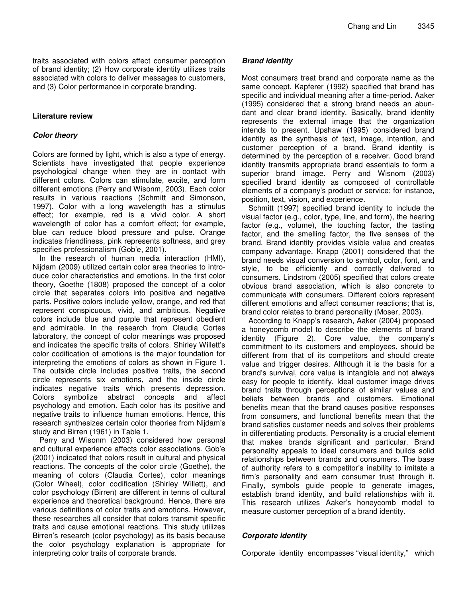traits associated with colors affect consumer perception of brand identity; (2) How corporate identity utilizes traits associated with colors to deliver messages to customers, and (3) Color performance in corporate branding.

# **Literature review**

# *Color theory*

Colors are formed by light, which is also a type of energy. Scientists have investigated that people experience psychological change when they are in contact with different colors. Colors can stimulate, excite, and form different emotions (Perry and Wisonm, 2003). Each color results in various reactions (Schmitt and Simonson, 1997). Color with a long wavelength has a stimulus effect; for example, red is a vivid color. A short wavelength of color has a comfort effect; for example, blue can reduce blood pressure and pulse. Orange indicates friendliness, pink represents softness, and grey specifies professionalism (Gob'e, 2001).

In the research of human media interaction (HMI), Nijdam (2009) utilized certain color area theories to introduce color characteristics and emotions. In the first color theory, Goethe (1808) proposed the concept of a color circle that separates colors into positive and negative parts. Positive colors include yellow, orange, and red that represent conspicuous, vivid, and ambitious. Negative colors include blue and purple that represent obedient and admirable. In the research from Claudia Cortes laboratory, the concept of color meanings was proposed and indicates the specific traits of colors. Shirley Willett's color codification of emotions is the major foundation for interpreting the emotions of colors as shown in Figure 1. The outside circle includes positive traits, the second circle represents six emotions, and the inside circle indicates negative traits which presents depression. Colors symbolize abstract concepts and affect psychology and emotion. Each color has its positive and negative traits to influence human emotions. Hence, this research synthesizes certain color theories from Nijdam's study and Birren (1961) in Table 1.

Perry and Wisonm (2003) considered how personal and cultural experience affects color associations. Gob'e (2001) indicated that colors result in cultural and physical reactions. The concepts of the color circle (Goethe), the meaning of colors (Claudia Cortes), color meanings (Color Wheel), color codification (Shirley Willett), and color psychology (Birren) are different in terms of cultural experience and theoretical background. Hence, there are various definitions of color traits and emotions. However, these researches all consider that colors transmit specific traits and cause emotional reactions. This study utilizes Birren's research (color psychology) as its basis because the color psychology explanation is appropriate for interpreting color traits of corporate brands.

# *Brand identity*

Most consumers treat brand and corporate name as the same concept. Kapferer (1992) specified that brand has specific and individual meaning after a time-period. Aaker (1995) considered that a strong brand needs an abundant and clear brand identity. Basically, brand identity represents the external image that the organization intends to present. Upshaw (1995) considered brand identity as the synthesis of text, image, intention, and customer perception of a brand. Brand identity is determined by the perception of a receiver. Good brand identity transmits appropriate brand essentials to form a superior brand image. Perry and Wisnom (2003) specified brand identity as composed of controllable elements of a company's product or service; for instance, position, text, vision, and experience.

Schmitt (1997) specified brand identity to include the visual factor (e.g., color, type, line, and form), the hearing factor (e.g., volume), the touching factor, the tasting factor, and the smelling factor, the five senses of the brand. Brand identity provides visible value and creates company advantage. Knapp (2001) considered that the brand needs visual conversion to symbol, color, font, and style, to be efficiently and correctly delivered to consumers. Lindstrom (2005) specified that colors create obvious brand association, which is also concrete to communicate with consumers. Different colors represent different emotions and affect consumer reactions; that is, brand color relates to brand personality (Moser, 2003).

According to Knapp's research, Aaker (2004) proposed a honeycomb model to describe the elements of brand identity (Figure 2). Core value, the company's commitment to its customers and employees, should be different from that of its competitors and should create value and trigger desires. Although it is the basis for a brand's survival, core value is intangible and not always easy for people to identify. Ideal customer image drives brand traits through perceptions of similar values and beliefs between brands and customers. Emotional benefits mean that the brand causes positive responses from consumers, and functional benefits mean that the brand satisfies customer needs and solves their problems in differentiating products. Personality is a crucial element that makes brands significant and particular. Brand personality appeals to ideal consumers and builds solid relationships between brands and consumers. The base of authority refers to a competitor's inability to imitate a firm's personality and earn consumer trust through it. Finally, symbols guide people to generate images, establish brand identity, and build relationships with it. This research utilizes Aaker's honeycomb model to measure customer perception of a brand identity.

# *Corporate identity*

Corporate identity encompasses "visual identity," which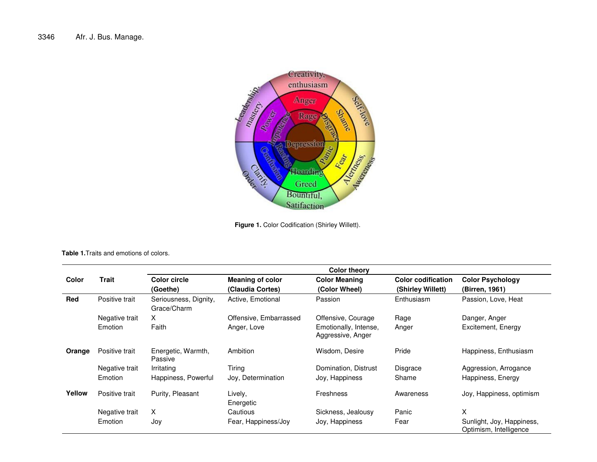

**Figure 1.** Color Codification (Shirley Willett).

**Table 1.**Traits and emotions of colors.

|        |                | <b>Color theory</b>                  |                                             |                                            |                                                |                                                     |  |  |  |
|--------|----------------|--------------------------------------|---------------------------------------------|--------------------------------------------|------------------------------------------------|-----------------------------------------------------|--|--|--|
| Color  | Trait          | <b>Color circle</b><br>(Goethe)      | <b>Meaning of color</b><br>(Claudia Cortes) | <b>Color Meaning</b><br>(Color Wheel)      | <b>Color codification</b><br>(Shirley Willett) | <b>Color Psychology</b><br>(Birren, 1961)           |  |  |  |
| Red    | Positive trait | Seriousness, Dignity,<br>Grace/Charm | Active, Emotional                           | Passion                                    | Enthusiasm                                     | Passion, Love, Heat                                 |  |  |  |
|        | Negative trait | X                                    | Offensive, Embarrassed                      | Offensive, Courage                         | Rage                                           | Danger, Anger                                       |  |  |  |
|        | Emotion        | Faith                                | Anger, Love                                 | Emotionally, Intense,<br>Aggressive, Anger | Anger                                          | Excitement, Energy                                  |  |  |  |
| Orange | Positive trait | Energetic, Warmth,<br>Passive        | Ambition                                    | Wisdom, Desire                             | Pride                                          | Happiness, Enthusiasm                               |  |  |  |
|        | Negative trait | Irritating                           | Tiring                                      | Domination, Distrust                       | Disgrace                                       | Aggression, Arrogance                               |  |  |  |
|        | Emotion        | Happiness, Powerful                  | Joy, Determination                          | Joy, Happiness                             | Shame                                          | Happiness, Energy                                   |  |  |  |
| Yellow | Positive trait | Purity, Pleasant                     | Lively,<br>Energetic                        | <b>Freshness</b>                           | Awareness                                      | Joy, Happiness, optimism                            |  |  |  |
|        | Negative trait | X.                                   | Cautious                                    | Sickness, Jealousy                         | Panic                                          | X                                                   |  |  |  |
|        | Emotion        | Joy                                  | Fear, Happiness/Joy                         | Joy, Happiness                             | Fear                                           | Sunlight, Joy, Happiness,<br>Optimism, Intelligence |  |  |  |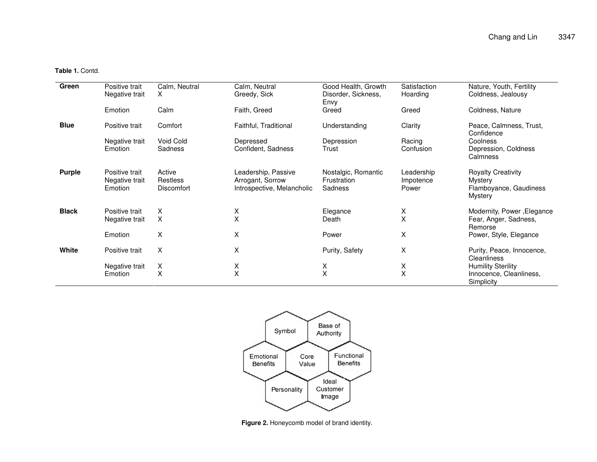**Table 1.** Contd.

| Green         | Positive trait<br>Negative trait            | Calm, Neutral<br>X                             | Calm, Neutral<br>Greedy, Sick                                         | Good Health, Growth<br>Disorder, Sickness,<br>Envy | Satisfaction<br>Hoarding         | Nature, Youth, Fertility<br>Coldness, Jealousy                            |
|---------------|---------------------------------------------|------------------------------------------------|-----------------------------------------------------------------------|----------------------------------------------------|----------------------------------|---------------------------------------------------------------------------|
|               | Emotion                                     | Calm                                           | Faith, Greed                                                          | Greed                                              | Greed                            | Coldness, Nature                                                          |
| <b>Blue</b>   | Positive trait                              | Comfort                                        | Faithful, Traditional                                                 | Understanding                                      | Clarity                          | Peace, Calmness, Trust,<br>Confidence                                     |
|               | Negative trait<br>Emotion                   | Void Cold<br>Sadness                           | Depressed<br>Confident, Sadness                                       | Depression<br>Trust                                | Racing<br>Confusion              | Coolness<br>Depression, Coldness<br>Calmness                              |
| <b>Purple</b> | Positive trait<br>Negative trait<br>Emotion | Active<br><b>Restless</b><br><b>Discomfort</b> | Leadership, Passive<br>Arrogant, Sorrow<br>Introspective, Melancholic | Nostalgic, Romantic<br>Frustration<br>Sadness      | Leadership<br>Impotence<br>Power | <b>Royalty Creativity</b><br>Mystery<br>Flamboyance, Gaudiness<br>Mystery |
| <b>Black</b>  | Positive trait<br>Negative trait            | х<br>X                                         | X<br>X                                                                | Elegance<br>Death                                  | X<br>X                           | Modernity, Power, Elegance<br>Fear, Anger, Sadness,<br>Remorse            |
|               | Emotion                                     | Χ                                              | X                                                                     | Power                                              | X                                | Power, Style, Elegance                                                    |
| White         | Positive trait                              | X                                              | Χ                                                                     | Purity, Safety                                     | X                                | Purity, Peace, Innocence,<br>Cleanliness                                  |
|               | Negative trait                              | Χ<br>X                                         | Χ<br>X                                                                | X<br>Χ                                             | X<br>Χ                           | <b>Humility Sterility</b>                                                 |
|               | Emotion                                     |                                                |                                                                       |                                                    |                                  | Innocence, Cleanliness,<br>Simplicity                                     |



**Figure 2.** Honeycomb model of brand identity.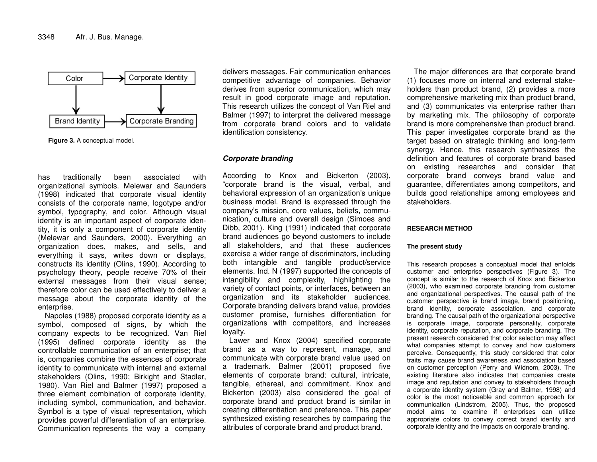

**Figure 3.** A conceptual model.

hass traditionally beenn associated withorganizational symbols. Melewar and Saunders (1998) indicated that corporate visual identity consists of the corporate name, logotype and/or symbol, typography, and color. Although visual identity is an important aspect of corporate identity, it is only a co mp onent of corp orate id entity (Melewar and Saunders, 2000). Everything an org anization d oes, m akes, and sells, and everything it sa ys, writes d own or displa ys, constructs its identity (Olins, 19 90). According to psycholo g y the ory, p eople receiv e70%of their e xternal messa g es fro m their visual sense; therefore color can be used effectively to deliver a message about the corporate identity of the enterprise.

Napoles (1988) proposed corporate identity as a symbol, composed of signs, by which the company expects to be recognized. Van Riel (19 9 5) d efine d corp orate id entity as the controlla ble co m munication of an enterprise; that is, co mp anies combine the essences of corp orateid entity to co mmunicate with internal and e xternal stakeholders (Olins, 19 90; Birkight and Stadler, 1980). V an Riel and Balmer (19 97) pro p osedathree element combination of corporate identity, including sy mbol, co mmunication, and behavior. Symbol is a type of visual representation, which pro vid es p o werful differentiation of an enterprise. Communication re presents the way a co mp any

delivers messag es. Fair communication enhances co m p etitiv e a d v anta g e of co m p anies. B eha vior derives from superior communication, which may result in g ood corp orate imag eand re putation. This research utilizes the conce pt of V an Riel and Balmer (1997) to interpret the delivered message from corporate brand colors and to validate id entification consistency.

#### *C orp orate bra n din g*

According to Knox and Bickerton (2003), "corporate brand is the visual, verbal, and behavioral expression of an org anization's unique business model. Brand is e xpresse d through the co m p any's mission, core v alues, b eliefs, co m munication, culture and o v erall d esign (Sim o es and Dibb, 2 001). King (19 91) indicate d that corp oratebrand audiences go beyond customers to include all stakehold ers, and that these audiences exercise a wider range of discriminators, including both intangible and tangible pro duct/serviceele ments. Ind. N (19 9 7) sup p orte d the conce pts of intangibility and co mple xity, highlighting the variety of contact points, or interfaces, between an org anization and its stakehold er audiences. Corporate branding delivers brand value, provides customer pro mise, furnishes differentiation for org anizations with co mp etitors, and incre ases loy alty.

L a w er and Kno x (2 0 0 4) sp ecifie d corp orate brand as a wa y to re present, <sup>m</sup> ana g e, and communicate with corporate brand value used on a tra demark. Balmer (2 001) pro p osed fiv eele ments of corp orate brand: cultural, intricate, tangible, ethereal, and commitment. Knox and Bickerton (2 003) also consid ered the g oal ofcorp orate brand and pro duct brand is similar in cre ating differentiation and preference. This p a p er synthesize dexisting rese arches by co mp aring the attributes of corporate brand and product brand.

The major differences are that corporate brand (1) focuses <sup>m</sup> ore on internal and e xternal stakehold ers than pro duct brand, (2) pro vid es a more comprehensiv emarketing mix than pro duct brand, and (3) communicates via enterprise rather than by marketing mix. The philosophy of corporate brand is <sup>m</sup>ore co mprehensiv e than pro duct brand. This paper investigates corporate brand as the targ et b ase d on strate gic thinking and long-term synerg y. H ence, this rese arch synthesizes the d efinition and fe atures of corp orate brand b ase d on e xisting rese arches and consid er that corporate brand conveys brand value and guarante e, differentiates <sup>a</sup> m ong co m p etitors, and builds g ood relationships <sup>a</sup> mong emplo y ees andstakeholders.

#### **RESEARCHMETHOD**

#### **The present study**

This research proposes <sup>a</sup> conceptual model that enfolds customer and enterprise perspectives (Figure 3). The concept is similar to the research of Knox and Bickerton (2003), who examined corporate branding from customer and organizational perspectives. The causal path of the customer perspective is brand image, brand positioning, brand identity, corporate association, and corporate branding. The causal path of the organizational perspective is corporate image, corporate personality, corporate identity, corporate reputation, and corporate branding. The present research considered that color selection may affect what companies attempt to convey and how customers perceive. Consequently, this study considered that color traits may cause brand awareness and association based on customer perception (Perry and Widnom, 2003). The existing literature also indicates that companies create image and reputation and convey to stakeholders through a corporate identity system (Gray and Balmer, 1998) and color is the most noticeable and common approach for communication (Lindstrom, 2005). Thus, the proposed model aims to examine if enterprises can utilize appropriate colors to convey correct brand identity and corporate identity and the impacts on corporate branding.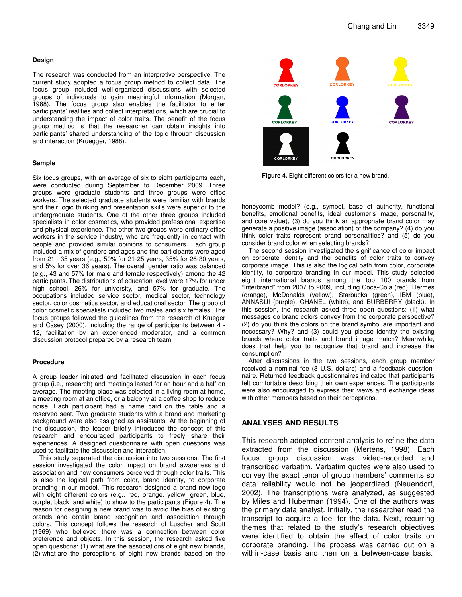#### **Design**

The research was conducted from an interpretive perspective. The current study adopted a focus group method to collect data. The focus group included well-organized discussions with selected groups of individuals to gain meaningful information (Morgan, 1988). The focus group also enables the facilitator to enter participants' realities and collect interpretations, which are crucial to understanding the impact of color traits. The benefit of the focus group method is that the researcher can obtain insights into participants' shared understanding of the topic through discussion and interaction (Kruegger, 1988).

#### **Sample**

Six focus groups, with an average of six to eight participants each, were conducted during September to December 2009. Three groups were graduate students and three groups were office workers. The selected graduate students were familiar with brands and their logic thinking and presentation skills were superior to the undergraduate students. One of the other three groups included specialists in color cosmetics, who provided professional expertise and physical experience. The other two groups were ordinary office workers in the service industry, who are frequently in contact with people and provided similar opinions to consumers. Each group included a mix of genders and ages and the participants were aged from 21 - 35 years (e.g., 50% for 21-25 years, 35% for 26-30 years, and 5% for over 36 years). The overall gender ratio was balanced (e.g., 43 and 57% for male and female respectively) among the 42 participants. The distributions of education level were 17% for under high school, 26% for university, and 57% for graduate. The occupations included service sector, medical sector, technology sector, color cosmetics sector, and educational sector. The group of color cosmetic specialists included two males and six females. The focus groups followed the guidelines from the research of Krueger and Casey (2000), including the range of participants between 4 - 12, facilitation by an experienced moderator, and a common discussion protocol prepared by a research team.

#### **Procedure**

A group leader initiated and facilitated discussion in each focus group (i.e., research) and meetings lasted for an hour and a half on average. The meeting place was selected in a living room at home, a meeting room at an office, or a balcony at a coffee shop to reduce noise. Each participant had a name card on the table and a reserved seat. Two graduate students with a brand and marketing background were also assigned as assistants. At the beginning of the discussion, the leader briefly introduced the concept of this research and encouraged participants to freely share their experiences. A designed questionnaire with open questions was used to facilitate the discussion and interaction.

This study separated the discussion into two sessions. The first session investigated the color impact on brand awareness and association and how consumers perceived through color traits. This is also the logical path from color, brand identity, to corporate branding in our model. This research designed a brand new logo with eight different colors (e.g., red, orange, yellow, green, blue, purple, black, and white) to show to the participants (Figure 4). The reason for designing a new brand was to avoid the bias of existing brands and obtain brand recognition and association through colors. This concept follows the research of Luscher and Scott (1969) who believed there was a connection between color preference and objects. In this session, the research asked five open questions: (1) what are the associations of eight new brands, (2) what are the perceptions of eight new brands based on the



**Figure 4.** Eight different colors for a new brand.

honeycomb model? (e.g., symbol, base of authority, functional benefits, emotional benefits, ideal customer's image, personality, and core value), (3) do you think an appropriate brand color may generate a positive image (association) of the company? (4) do you think color traits represent brand personalities? and (5) do you consider brand color when selecting brands?

The second session investigated the significance of color impact on corporate identity and the benefits of color traits to convey corporate image. This is also the logical path from color, corporate identity, to corporate branding in our model. This study selected eight international brands among the top 100 brands from "Interbrand" from 2007 to 2009, including Coca-Cola (red), Hermes (orange), McDonalds (yellow), Starbucks (green), IBM (blue), ANNASUI (purple), CHANEL (white), and BURBERRY (black). In this session, the research asked three open questions: (1) what messages do brand colors convey from the corporate perspective? (2) do you think the colors on the brand symbol are important and necessary? Why? and (3) could you please identity the existing brands where color traits and brand image match? Meanwhile, does that help you to recognize that brand and increase the consumption?

After discussions in the two sessions, each group member received a nominal fee (3 U.S. dollars) and a feedback questionnaire. Returned feedback questionnaires indicated that participants felt comfortable describing their own experiences. The participants were also encouraged to express their views and exchange ideas with other members based on their perceptions.

### **ANALYSES AND RESULTS**

This research adopted content analysis to refine the data extracted from the discussion (Mertens, 1998). Each focus group discussion was video-recorded and transcribed verbatim. Verbatim quotes were also used to convey the exact tenor of group members' comments so data reliability would not be jeopardized (Neuendorf, 2002). The transcriptions were analyzed, as suggested by Miles and Huberman (1994). One of the authors was the primary data analyst. Initially, the researcher read the transcript to acquire a feel for the data. Next, recurring themes that related to the study's research objectives were identified to obtain the effect of color traits on corporate branding. The process was carried out on a within-case basis and then on a between-case basis.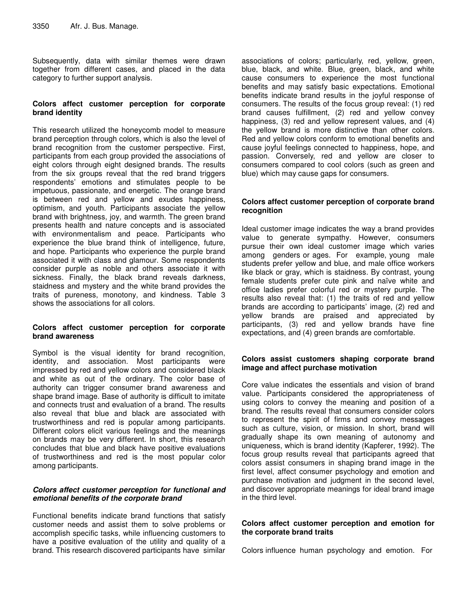Subsequently, data with similar themes were drawn together from different cases, and placed in the data category to further support analysis.

# **Colors affect customer perception for corporate brand identity**

This research utilized the honeycomb model to measure brand perception through colors, which is also the level of brand recognition from the customer perspective. First, participants from each group provided the associations of eight colors through eight designed brands. The results from the six groups reveal that the red brand triggers respondents' emotions and stimulates people to be impetuous, passionate, and energetic. The orange brand is between red and yellow and exudes happiness, optimism, and youth. Participants associate the yellow brand with brightness, joy, and warmth. The green brand presents health and nature concepts and is associated with environmentalism and peace. Participants who experience the blue brand think of intelligence, future, and hope. Participants who experience the purple brand associated it with class and glamour. Some respondents consider purple as noble and others associate it with sickness. Finally, the black brand reveals darkness, staidness and mystery and the white brand provides the traits of pureness, monotony, and kindness. Table 3 shows the associations for all colors.

# **Colors affect customer perception for corporate brand awareness**

Symbol is the visual identity for brand recognition, identity, and association. Most participants were impressed by red and yellow colors and considered black and white as out of the ordinary. The color base of authority can trigger consumer brand awareness and shape brand image. Base of authority is difficult to imitate and connects trust and evaluation of a brand. The results also reveal that blue and black are associated with trustworthiness and red is popular among participants. Different colors elicit various feelings and the meanings on brands may be very different. In short, this research concludes that blue and black have positive evaluations of trustworthiness and red is the most popular color among participants.

# *Colors affect customer perception for functional and emotional benefits of the corporate brand*

Functional benefits indicate brand functions that satisfy customer needs and assist them to solve problems or accomplish specific tasks, while influencing customers to have a positive evaluation of the utility and quality of a brand. This research discovered participants have similar

associations of colors; particularly, red, yellow, green, blue, black, and white. Blue, green, black, and white cause consumers to experience the most functional benefits and may satisfy basic expectations. Emotional benefits indicate brand results in the joyful response of consumers. The results of the focus group reveal: (1) red brand causes fulfillment, (2) red and yellow convey happiness, (3) red and yellow represent values, and (4) the yellow brand is more distinctive than other colors. Red and yellow colors conform to emotional benefits and cause joyful feelings connected to happiness, hope, and passion. Conversely, red and yellow are closer to consumers compared to cool colors (such as green and blue) which may cause gaps for consumers.

# **Colors affect customer perception of corporate brand recognition**

Ideal customer image indicates the way a brand provides value to generate sympathy. However, consumers pursue their own ideal customer image which varies among genders or ages. For example, young male students prefer yellow and blue, and male office workers like black or gray, which is staidness. By contrast, young female students prefer cute pink and naïve white and office ladies prefer colorful red or mystery purple. The results also reveal that: (1) the traits of red and yellow brands are according to participants' image, (2) red and yellow brands are praised and appreciated by participants, (3) red and yellow brands have fine expectations, and (4) green brands are comfortable.

# **Colors assist customers shaping corporate brand image and affect purchase motivation**

Core value indicates the essentials and vision of brand value. Participants considered the appropriateness of using colors to convey the meaning and position of a brand. The results reveal that consumers consider colors to represent the spirit of firms and convey messages such as culture, vision, or mission. In short, brand will gradually shape its own meaning of autonomy and uniqueness, which is brand identity (Kapferer, 1992). The focus group results reveal that participants agreed that colors assist consumers in shaping brand image in the first level, affect consumer psychology and emotion and purchase motivation and judgment in the second level, and discover appropriate meanings for ideal brand image in the third level.

# **Colors affect customer perception and emotion for the corporate brand traits**

Colors influence human psychology and emotion. For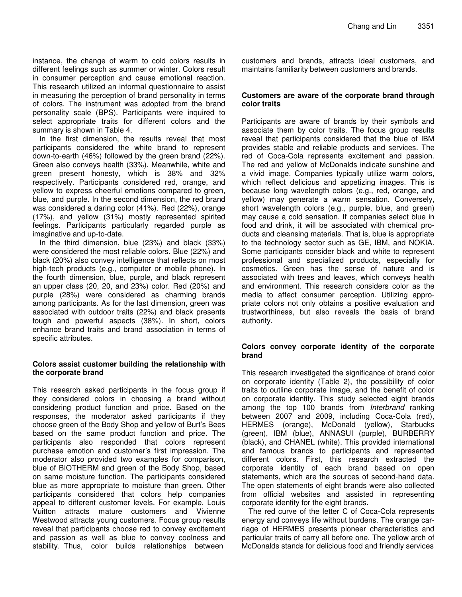instance, the change of warm to cold colors results in different feelings such as summer or winter. Colors result in consumer perception and cause emotional reaction. This research utilized an informal questionnaire to assist in measuring the perception of brand personality in terms of colors. The instrument was adopted from the brand personality scale (BPS). Participants were inquired to select appropriate traits for different colors and the summary is shown in Table 4.

In the first dimension, the results reveal that most participants considered the white brand to represent down-to-earth (46%) followed by the green brand (22%). Green also conveys health (33%). Meanwhile, white and green present honesty, which is 38% and 32% respectively. Participants considered red, orange, and yellow to express cheerful emotions compared to green, blue, and purple. In the second dimension, the red brand was considered a daring color (41%). Red (22%), orange (17%), and yellow (31%) mostly represented spirited feelings. Participants particularly regarded purple as imaginative and up-to-date.

In the third dimension, blue (23%) and black (33%) were considered the most reliable colors. Blue (22%) and black (20%) also convey intelligence that reflects on most high-tech products (e.g., computer or mobile phone). In the fourth dimension, blue, purple, and black represent an upper class (20, 20, and 23%) color. Red (20%) and purple (28%) were considered as charming brands among participants. As for the last dimension, green was associated with outdoor traits (22%) and black presents tough and powerful aspects (38%). In short, colors enhance brand traits and brand association in terms of specific attributes.

# **Colors assist customer building the relationship with the corporate brand**

This research asked participants in the focus group if they considered colors in choosing a brand without considering product function and price. Based on the responses, the moderator asked participants if they choose green of the Body Shop and yellow of Burt's Bees based on the same product function and price. The participants also responded that colors represent purchase emotion and customer's first impression. The moderator also provided two examples for comparison, blue of BIOTHERM and green of the Body Shop, based on same moisture function. The participants considered blue as more appropriate to moisture than green. Other participants considered that colors help companies appeal to different customer levels. For example, Louis Vuitton attracts mature customers and Vivienne Westwood attracts young customers. Focus group results reveal that participants choose red to convey excitement and passion as well as blue to convey coolness and stability. Thus, color builds relationships between

customers and brands, attracts ideal customers, and maintains familiarity between customers and brands.

## **Customers are aware of the corporate brand through color traits**

Participants are aware of brands by their symbols and associate them by color traits. The focus group results reveal that participants considered that the blue of IBM provides stable and reliable products and services. The red of Coca-Cola represents excitement and passion. The red and yellow of McDonalds indicate sunshine and a vivid image. Companies typically utilize warm colors, which reflect delicious and appetizing images. This is because long wavelength colors (e.g., red, orange, and yellow) may generate a warm sensation. Conversely, short wavelength colors (e.g., purple, blue, and green) may cause a cold sensation. If companies select blue in food and drink, it will be associated with chemical products and cleansing materials. That is, blue is appropriate to the technology sector such as GE, IBM, and NOKIA. Some participants consider black and white to represent professional and specialized products, especially for cosmetics. Green has the sense of nature and is associated with trees and leaves, which conveys health and environment. This research considers color as the media to affect consumer perception. Utilizing appropriate colors not only obtains a positive evaluation and trustworthiness, but also reveals the basis of brand authority.

## **Colors convey corporate identity of the corporate brand**

This research investigated the significance of brand color on corporate identity (Table 2), the possibility of color traits to outline corporate image, and the benefit of color on corporate identity. This study selected eight brands among the top 100 brands from *Interbrand* ranking between 2007 and 2009, including Coca-Cola (red), HERMES (orange), McDonald (yellow), Starbucks (green), IBM (blue), ANNASUI (purple), BURBERRY (black), and CHANEL (white). This provided international and famous brands to participants and represented different colors. First, this research extracted the corporate identity of each brand based on open statements, which are the sources of second-hand data. The open statements of eight brands were also collected from official websites and assisted in representing corporate identity for the eight brands.

The red curve of the letter C of Coca-Cola represents energy and conveys life without burdens. The orange carriage of HERMES presents pioneer characteristics and particular traits of carry all before one. The yellow arch of McDonalds stands for delicious food and friendly services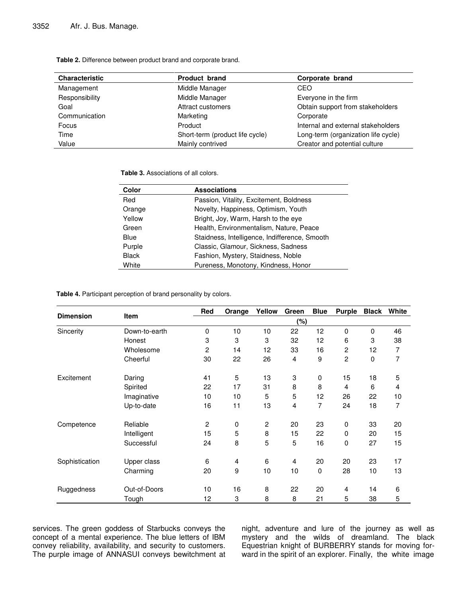**Table 2.** Difference between product brand and corporate brand.

| <b>Characteristic</b> | <b>Product brand</b>            | Corporate brand                     |
|-----------------------|---------------------------------|-------------------------------------|
| Management            | Middle Manager                  | CEO                                 |
| Responsibility        | Middle Manager                  | Everyone in the firm                |
| Goal                  | Attract customers               | Obtain support from stakeholders    |
| Communication         | Marketing                       | Corporate                           |
| Focus                 | Product                         | Internal and external stakeholders  |
| Time                  | Short-term (product life cycle) | Long-term (organization life cycle) |
| Value                 | Mainly contrived                | Creator and potential culture       |

**Table 3.** Associations of all colors.

| Color        | <b>Associations</b>                           |
|--------------|-----------------------------------------------|
| Red          | Passion, Vitality, Excitement, Boldness       |
| Orange       | Novelty, Happiness, Optimism, Youth           |
| Yellow       | Bright, Joy, Warm, Harsh to the eye           |
| Green        | Health, Environmentalism, Nature, Peace       |
| Blue         | Staidness, Intelligence, Indifference, Smooth |
| Purple       | Classic, Glamour, Sickness, Sadness           |
| <b>Black</b> | Fashion, Mystery, Staidness, Noble            |
| White        | Pureness, Monotony, Kindness, Honor           |

**Table 4.** Participant perception of brand personality by colors.

| <b>Dimension</b> | <b>Item</b>   | Red            | Orange                    | Yellow         | Green | <b>Blue</b> | <b>Purple</b> | <b>Black</b> | White |
|------------------|---------------|----------------|---------------------------|----------------|-------|-------------|---------------|--------------|-------|
|                  |               | (%)            |                           |                |       |             |               |              |       |
| Sincerity        | Down-to-earth | $\mathbf 0$    | 10                        | 10             | 22    | 12          | 0             | 0            | 46    |
|                  | Honest        | 3              | 3                         | 3              | 32    | 12          | 6             | 3            | 38    |
|                  | Wholesome     | $\overline{2}$ | 14                        | 12             | 33    | 16          | 2             | 12           | 7     |
|                  | Cheerful      | 30             | 22                        | 26             | 4     | 9           | 2             | 0            | 7     |
| Excitement       | Daring        | 41             | 5                         | 13             | 3     | $\mathbf 0$ | 15            | 18           | 5     |
|                  | Spirited      | 22             | 17                        | 31             | 8     | 8           | 4             | 6            | 4     |
|                  | Imaginative   | 10             | 10                        | 5              | 5     | 12          | 26            | 22           | 10    |
|                  | Up-to-date    | 16             | 11                        | 13             | 4     | 7           | 24            | 18           | 7     |
| Competence       | Reliable      | $\overline{c}$ | 0                         | $\overline{c}$ | 20    | 23          | 0             | 33           | 20    |
|                  | Intelligent   | 15             | 5                         | 8              | 15    | 22          | 0             | 20           | 15    |
|                  | Successful    | 24             | 8                         | 5              | 5     | 16          | 0             | 27           | 15    |
| Sophistication   | Upper class   | 6              | 4                         | 6              | 4     | 20          | 20            | 23           | 17    |
|                  | Charming      | 20             | 9                         | 10             | 10    | $\mathbf 0$ | 28            | 10           | 13    |
| Ruggedness       | Out-of-Doors  | 10             | 16                        | 8              | 22    | 20          | 4             | 14           | 6     |
|                  | Tough         | 12             | $\ensuremath{\mathsf{3}}$ | 8              | 8     | 21          | 5             | 38           | 5     |

services. The green goddess of Starbucks conveys the concept of a mental experience. The blue letters of IBM convey reliability, availability, and security to customers. The purple image of ANNASUI conveys bewitchment at night, adventure and lure of the journey as well as mystery and the wilds of dreamland. The black Equestrian knight of BURBERRY stands for moving forward in the spirit of an explorer. Finally, the white image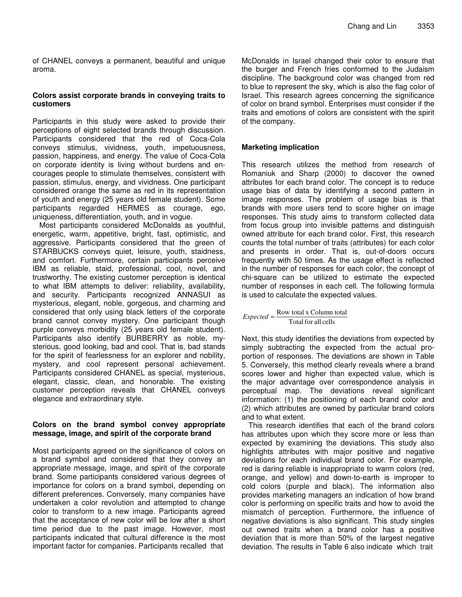of CHANEL conveys a permanent, beautiful and unique aroma.

# **Colors assist corporate brands in conveying traits to customers**

Participants in this study were asked to provide their perceptions of eight selected brands through discussion. Participants considered that the red of Coca-Cola conveys stimulus, vividness, youth, impetuousness, passion, happiness, and energy. The value of Coca-Cola on corporate identity is living without burdens and encourages people to stimulate themselves, consistent with passion, stimulus, energy, and vividness. One participant considered orange the same as red in its representation of youth and energy (25 years old female student). Some participants regarded HERMES as courage, ego, uniqueness, differentiation, youth, and in vogue.

Most participants considered McDonalds as youthful, energetic, warm, appetitive, bright, fast, optimistic, and aggressive. Participants considered that the green of STARBUCKS conveys quiet, leisure, youth, staidness, and comfort. Furthermore, certain participants perceive IBM as reliable, staid, professional, cool, novel, and trustworthy. The existing customer perception is identical to what IBM attempts to deliver: reliability, availability, and security. Participants recognized ANNASUI as mysterious, elegant, noble, gorgeous, and charming and considered that only using black letters of the corporate brand cannot convey mystery. One participant though purple conveys morbidity (25 years old female student). Participants also identify BURBERRY as noble, mysterious, good looking, bad and cool. That is, bad stands for the spirit of fearlessness for an explorer and nobility, mystery, and cool represent personal achievement. Participants considered CHANEL as special, mysterious, elegant, classic, clean, and honorable. The existing customer perception reveals that CHANEL conveys elegance and extraordinary style.

# **Colors on the brand symbol convey appropriate message, image, and spirit of the corporate brand**

Most participants agreed on the significance of colors on a brand symbol and considered that they convey an appropriate message, image, and spirit of the corporate brand. Some participants considered various degrees of importance for colors on a brand symbol, depending on different preferences. Conversely, many companies have undertaken a color revolution and attempted to change color to transform to a new image. Participants agreed that the acceptance of new color will be low after a short time period due to the past image. However, most participants indicated that cultural difference is the most important factor for companies. Participants recalled that

McDonalds in Israel changed their color to ensure that the burger and French fries conformed to the Judaism discipline. The background color was changed from red to blue to represent the sky, which is also the flag color of Israel. This research agrees concerning the significance of color on brand symbol. Enterprises must consider if the traits and emotions of colors are consistent with the spirit of the company.

# **Marketing implication**

This research utilizes the method from research of Romaniuk and Sharp (2000) to discover the owned attributes for each brand color. The concept is to reduce usage bias of data by identifying a second pattern in image responses. The problem of usage bias is that brands with more users tend to score higher on image responses. This study aims to transform collected data from focus group into invisible patterns and distinguish owned attribute for each brand color. First, this research counts the total number of traits (attributes) for each color and presents in order. That is, out-of-doors occurs frequently with 50 times. As the usage effect is reflected in the number of responses for each color, the concept of chi-square can be utilized to estimate the expected number of responses in each cell. The following formula is used to calculate the expected values.

Total for all cells  $Expected = \frac{Row total x Column total}{P}$ 

Next, this study identifies the deviations from expected by simply subtracting the expected from the actual proportion of responses. The deviations are shown in Table 5. Conversely, this method clearly reveals where a brand scores lower and higher than expected value, which is the major advantage over correspondence analysis in perceptual map. The deviations reveal significant information: (1) the positioning of each brand color and (2) which attributes are owned by particular brand colors and to what extent.

This research identifies that each of the brand colors has attributes upon which they score more or less than expected by examining the deviations. This study also highlights attributes with major positive and negative deviations for each individual brand color. For example, red is daring reliable is inappropriate to warm colors (red, orange, and yellow) and down-to-earth is improper to cold colors (purple and black). The information also provides marketing managers an indication of how brand color is performing on specific traits and how to avoid the mismatch of perception. Furthermore, the influence of negative deviations is also significant. This study singles out owned traits when a brand color has a positive deviation that is more than 50% of the largest negative deviation. The results in Table 6 also indicate which trait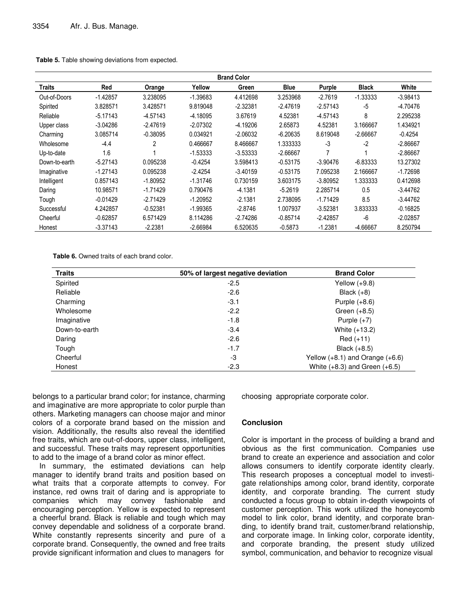| <b>Brand Color</b> |            |                |            |            |             |            |              |            |
|--------------------|------------|----------------|------------|------------|-------------|------------|--------------|------------|
| Traits             | Red        | Orange         | Yellow     | Green      | <b>Blue</b> | Purple     | <b>Black</b> | White      |
| Out-of-Doors       | $-1.42857$ | 3.238095       | $-1.39683$ | 4.412698   | 3.253968    | $-2.7619$  | $-1.33333$   | $-3.98413$ |
| Spirited           | 3.828571   | 3.428571       | 9.819048   | $-2.32381$ | -2.47619    | $-2.57143$ | -5           | $-4.70476$ |
| Reliable           | $-5.17143$ | $-4.57143$     | $-4.18095$ | 3.67619    | 4.52381     | $-4.57143$ | 8            | 2.295238   |
| Upper class        | $-3.04286$ | $-2.47619$     | $-2.07302$ | $-4.19206$ | 2.65873     | 4.52381    | 3.166667     | 1.434921   |
| Charming           | 3.085714   | $-0.38095$     | 0.034921   | $-2.06032$ | $-6.20635$  | 8.619048   | $-2.66667$   | $-0.4254$  |
| Wholesome          | -4.4       | $\overline{2}$ | 0.466667   | 8.466667   | 1.333333    | -3         | $-2$         | $-2.86667$ |
| Up-to-date         | 1.6        |                | $-1.53333$ | $-3.53333$ | $-2.66667$  | 7          |              | $-2.86667$ |
| Down-to-earth      | $-5.27143$ | 0.095238       | $-0.4254$  | 3.598413   | $-0.53175$  | $-3.90476$ | $-6.83333$   | 13.27302   |
| Imaginative        | $-1.27143$ | 0.095238       | $-2.4254$  | $-3.40159$ | $-0.53175$  | 7.095238   | 2.166667     | $-1.72698$ |
| Intelligent        | 0.857143   | $-1.80952$     | $-1.31746$ | 0.730159   | 3.603175    | $-3.80952$ | 1.333333     | 0.412698   |
| Daring             | 10.98571   | $-1.71429$     | 0.790476   | $-4.1381$  | $-5.2619$   | 2.285714   | 0.5          | $-3.44762$ |
| Tough              | $-0.01429$ | $-2.71429$     | $-1.20952$ | $-2.1381$  | 2.738095    | $-1.71429$ | 8.5          | $-3.44762$ |
| Successful         | 4.242857   | $-0.52381$     | $-1.99365$ | $-2.8746$  | 1.007937    | $-3.52381$ | 3.833333     | $-0.16825$ |
| Cheerful           | $-0.62857$ | 6.571429       | 8.114286   | $-2.74286$ | $-0.85714$  | $-2.42857$ | $-6$         | $-2.02857$ |
| Honest             | $-3.37143$ | $-2.2381$      | $-2.66984$ | 6.520635   | $-0.5873$   | $-1.2381$  | -4.66667     | 8.250794   |

**Table 5.** Table showing deviations from expected.

**Table 6.** Owned traits of each brand color.

| <b>Traits</b> | 50% of largest negative deviation | <b>Brand Color</b>                  |
|---------------|-----------------------------------|-------------------------------------|
| Spirited      | $-2.5$                            | Yellow $(+9.8)$                     |
| Reliable      | $-2.6$                            | Black $(+8)$                        |
| Charming      | $-3.1$                            | Purple $(+8.6)$                     |
| Wholesome     | $-2.2$                            | Green $(+8.5)$                      |
| Imaginative   | $-1.8$                            | Purple $(+7)$                       |
| Down-to-earth | $-3.4$                            | White (+13.2)                       |
| Daring        | $-2.6$                            | $Red (+11)$                         |
| Tough         | $-1.7$                            | Black $(+8.5)$                      |
| Cheerful      | -3                                | Yellow $(+8.1)$ and Orange $(+6.6)$ |
| Honest        | $-2.3$                            | White $(+8.3)$ and Green $(+6.5)$   |

belongs to a particular brand color; for instance, charming and imaginative are more appropriate to color purple than others. Marketing managers can choose major and minor colors of a corporate brand based on the mission and vision. Additionally, the results also reveal the identified free traits, which are out-of-doors, upper class, intelligent, and successful. These traits may represent opportunities to add to the image of a brand color as minor effect.

In summary, the estimated deviations can help manager to identify brand traits and position based on what traits that a corporate attempts to convey. For instance, red owns trait of daring and is appropriate to companies which may convey fashionable and encouraging perception. Yellow is expected to represent a cheerful brand. Black is reliable and tough which may convey dependable and solidness of a corporate brand. White constantly represents sincerity and pure of a corporate brand. Consequently, the owned and free traits provide significant information and clues to managers for

choosing appropriate corporate color.

# **Conclusion**

Color is important in the process of building a brand and obvious as the first communication. Companies use brand to create an experience and association and color allows consumers to identify corporate identity clearly. This research proposes a conceptual model to investigate relationships among color, brand identity, corporate identity, and corporate branding. The current study conducted a focus group to obtain in-depth viewpoints of customer perception. This work utilized the honeycomb model to link color, brand identity, and corporate branding, to identify brand trait, customer/brand relationship, and corporate image. In linking color, corporate identity, and corporate branding, the present study utilized symbol, communication, and behavior to recognize visual